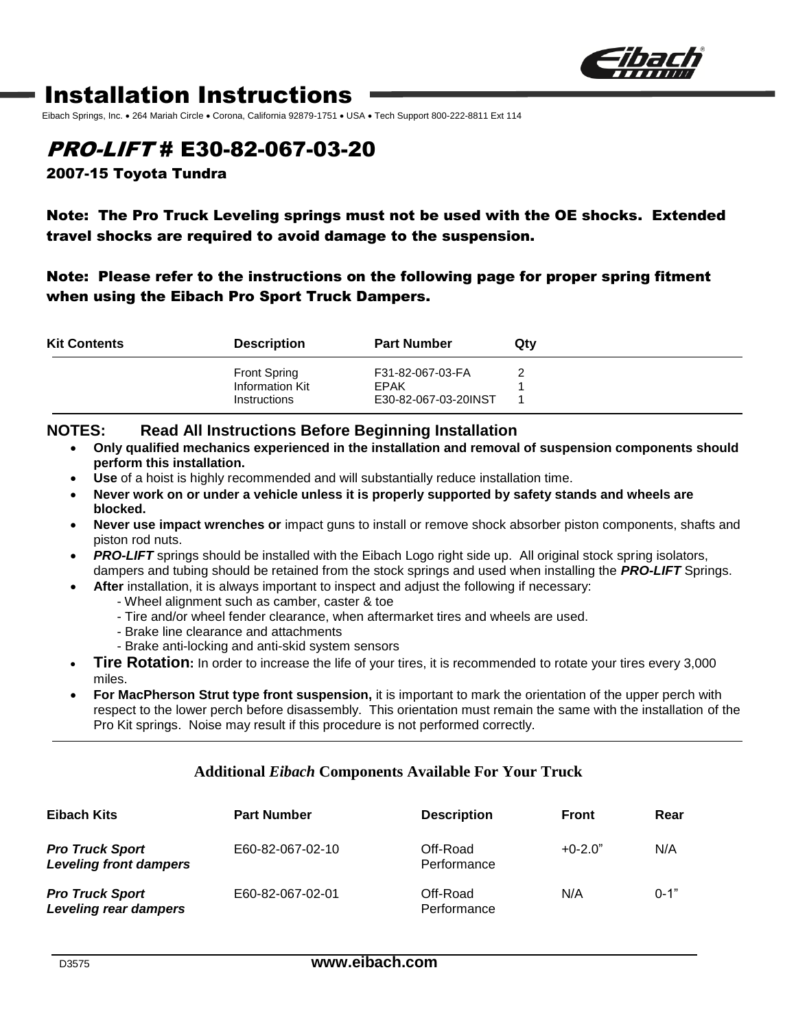

## Installation Instructions

Eibach Springs, Inc. • 264 Mariah Circle • Corona, California 92879-1751 • USA • Tech Support 800-222-8811 Ext 114

## PRO-LIFT # E30-82-067-03-20

2007-15 Toyota Tundra

### Note: The Pro Truck Leveling springs must not be used with the OE shocks. Extended travel shocks are required to avoid damage to the suspension.

### Note: Please refer to the instructions on the following page for proper spring fitment when using the Eibach Pro Sport Truck Dampers.

| <b>Kit Contents</b> | <b>Description</b>                     | <b>Part Number</b>       | Qty |
|---------------------|----------------------------------------|--------------------------|-----|
|                     | <b>Front Spring</b><br>Information Kit | F31-82-067-03-FA<br>EPAK |     |
|                     | Instructions                           | E30-82-067-03-20INST     |     |

#### **NOTES: Read All Instructions Before Beginning Installation**

- **Only qualified mechanics experienced in the installation and removal of suspension components should perform this installation.**
- **Use** of a hoist is highly recommended and will substantially reduce installation time.
- **Never work on or under a vehicle unless it is properly supported by safety stands and wheels are blocked.**
- **Never use impact wrenches or** impact guns to install or remove shock absorber piston components, shafts and piston rod nuts.
- **PRO-LIFT** springs should be installed with the Eibach Logo right side up. All original stock spring isolators, dampers and tubing should be retained from the stock springs and used when installing the *PRO-LIFT* Springs.
- **After** installation, it is always important to inspect and adjust the following if necessary:
	- Wheel alignment such as camber, caster & toe
	- Tire and/or wheel fender clearance, when aftermarket tires and wheels are used.
	- Brake line clearance and attachments
	- Brake anti-locking and anti-skid system sensors
- **Tire Rotation:** In order to increase the life of your tires, it is recommended to rotate your tires every 3,000 miles.
- **For MacPherson Strut type front suspension,** it is important to mark the orientation of the upper perch with respect to the lower perch before disassembly. This orientation must remain the same with the installation of the Pro Kit springs. Noise may result if this procedure is not performed correctly.

#### **Additional** *Eibach* **Components Available For Your Truck**

| Eibach Kits                                             | <b>Part Number</b> | <b>Description</b>      | Front     | Rear     |
|---------------------------------------------------------|--------------------|-------------------------|-----------|----------|
| <b>Pro Truck Sport</b><br><b>Leveling front dampers</b> | E60-82-067-02-10   | Off-Road<br>Performance | $+0-2.0"$ | N/A      |
| <b>Pro Truck Sport</b><br>Leveling rear dampers         | E60-82-067-02-01   | Off-Road<br>Performance | N/A       | $0 - 1"$ |